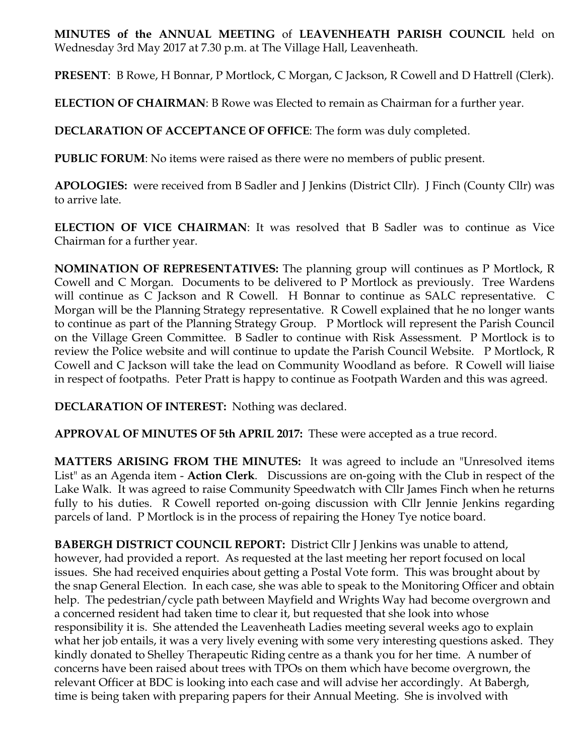**MINUTES of the ANNUAL MEETING** of **LEAVENHEATH PARISH COUNCIL** held on Wednesday 3rd May 2017 at 7.30 p.m. at The Village Hall, Leavenheath.

**PRESENT**: B Rowe, H Bonnar, P Mortlock, C Morgan, C Jackson, R Cowell and D Hattrell (Clerk).

**ELECTION OF CHAIRMAN**: B Rowe was Elected to remain as Chairman for a further year.

**DECLARATION OF ACCEPTANCE OF OFFICE**: The form was duly completed.

**PUBLIC FORUM:** No items were raised as there were no members of public present.

**APOLOGIES:** were received from B Sadler and J Jenkins (District Cllr). J Finch (County Cllr) was to arrive late.

**ELECTION OF VICE CHAIRMAN**: It was resolved that B Sadler was to continue as Vice Chairman for a further year.

**NOMINATION OF REPRESENTATIVES:** The planning group will continues as P Mortlock, R Cowell and C Morgan. Documents to be delivered to P Mortlock as previously. Tree Wardens will continue as C Jackson and R Cowell. H Bonnar to continue as SALC representative. C Morgan will be the Planning Strategy representative. R Cowell explained that he no longer wants to continue as part of the Planning Strategy Group. P Mortlock will represent the Parish Council on the Village Green Committee. B Sadler to continue with Risk Assessment. P Mortlock is to review the Police website and will continue to update the Parish Council Website. P Mortlock, R Cowell and C Jackson will take the lead on Community Woodland as before. R Cowell will liaise in respect of footpaths. Peter Pratt is happy to continue as Footpath Warden and this was agreed.

**DECLARATION OF INTEREST:** Nothing was declared.

**APPROVAL OF MINUTES OF 5th APRIL 2017:** These were accepted as a true record.

**MATTERS ARISING FROM THE MINUTES:** It was agreed to include an "Unresolved items List" as an Agenda item - **Action Clerk**. Discussions are on-going with the Club in respect of the Lake Walk. It was agreed to raise Community Speedwatch with Cllr James Finch when he returns fully to his duties. R Cowell reported on-going discussion with Cllr Jennie Jenkins regarding parcels of land. P Mortlock is in the process of repairing the Honey Tye notice board.

**BABERGH DISTRICT COUNCIL REPORT:** District Cllr J Jenkins was unable to attend, however, had provided a report. As requested at the last meeting her report focused on local issues. She had received enquiries about getting a Postal Vote form. This was brought about by the snap General Election. In each case, she was able to speak to the Monitoring Officer and obtain help. The pedestrian/cycle path between Mayfield and Wrights Way had become overgrown and a concerned resident had taken time to clear it, but requested that she look into whose responsibility it is. She attended the Leavenheath Ladies meeting several weeks ago to explain what her job entails, it was a very lively evening with some very interesting questions asked. They kindly donated to Shelley Therapeutic Riding centre as a thank you for her time. A number of concerns have been raised about trees with TPOs on them which have become overgrown, the relevant Officer at BDC is looking into each case and will advise her accordingly. At Babergh, time is being taken with preparing papers for their Annual Meeting. She is involved with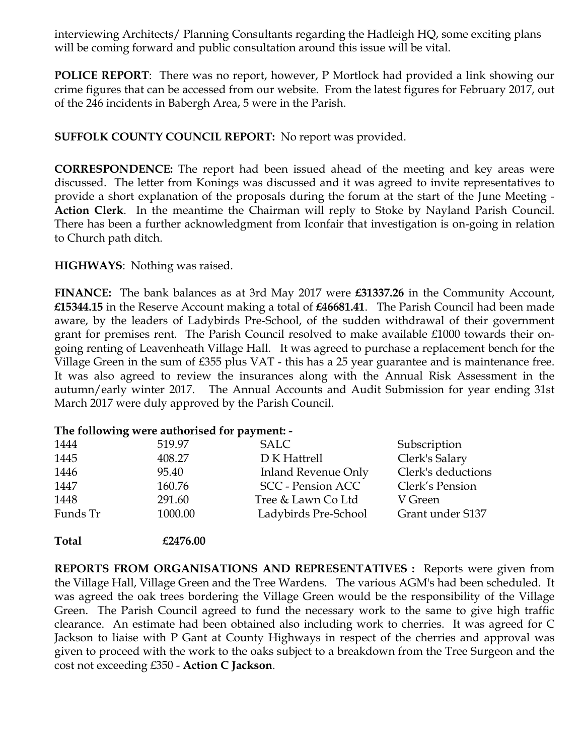interviewing Architects/ Planning Consultants regarding the Hadleigh HQ, some exciting plans will be coming forward and public consultation around this issue will be vital.

**POLICE REPORT**: There was no report, however, P Mortlock had provided a link showing our crime figures that can be accessed from our website. From the latest figures for February 2017, out of the 246 incidents in Babergh Area, 5 were in the Parish.

**SUFFOLK COUNTY COUNCIL REPORT:** No report was provided.

**CORRESPONDENCE:** The report had been issued ahead of the meeting and key areas were discussed. The letter from Konings was discussed and it was agreed to invite representatives to provide a short explanation of the proposals during the forum at the start of the June Meeting - **Action Clerk**. In the meantime the Chairman will reply to Stoke by Nayland Parish Council. There has been a further acknowledgment from Iconfair that investigation is on-going in relation to Church path ditch.

**HIGHWAYS**: Nothing was raised.

**FINANCE:** The bank balances as at 3rd May 2017 were **£31337.26** in the Community Account, **£15344.15** in the Reserve Account making a total of **£46681.41**. The Parish Council had been made aware, by the leaders of Ladybirds Pre-School, of the sudden withdrawal of their government grant for premises rent. The Parish Council resolved to make available £1000 towards their ongoing renting of Leavenheath Village Hall. It was agreed to purchase a replacement bench for the Village Green in the sum of £355 plus VAT - this has a 25 year guarantee and is maintenance free. It was also agreed to review the insurances along with the Annual Risk Assessment in the autumn/early winter 2017. The Annual Accounts and Audit Submission for year ending 31st March 2017 were duly approved by the Parish Council.

## **The following were authorised for payment: -**

**Total £2476.00**

| 1444     | 519.97  | <b>SALC</b>                | Subscription       |
|----------|---------|----------------------------|--------------------|
| 1445     | 408.27  | D K Hattrell               | Clerk's Salary     |
| 1446     | 95.40   | <b>Inland Revenue Only</b> | Clerk's deductions |
| 1447     | 160.76  | <b>SCC</b> - Pension ACC   | Clerk's Pension    |
| 1448     | 291.60  | Tree & Lawn Co Ltd         | V Green            |
| Funds Tr | 1000.00 | Ladybirds Pre-School       | Grant under S137   |
|          |         |                            |                    |

**REPORTS FROM ORGANISATIONS AND REPRESENTATIVES :** Reports were given from the Village Hall, Village Green and the Tree Wardens. The various AGM's had been scheduled. It was agreed the oak trees bordering the Village Green would be the responsibility of the Village Green. The Parish Council agreed to fund the necessary work to the same to give high traffic clearance. An estimate had been obtained also including work to cherries. It was agreed for C Jackson to liaise with P Gant at County Highways in respect of the cherries and approval was given to proceed with the work to the oaks subject to a breakdown from the Tree Surgeon and the cost not exceeding £350 - **Action C Jackson**.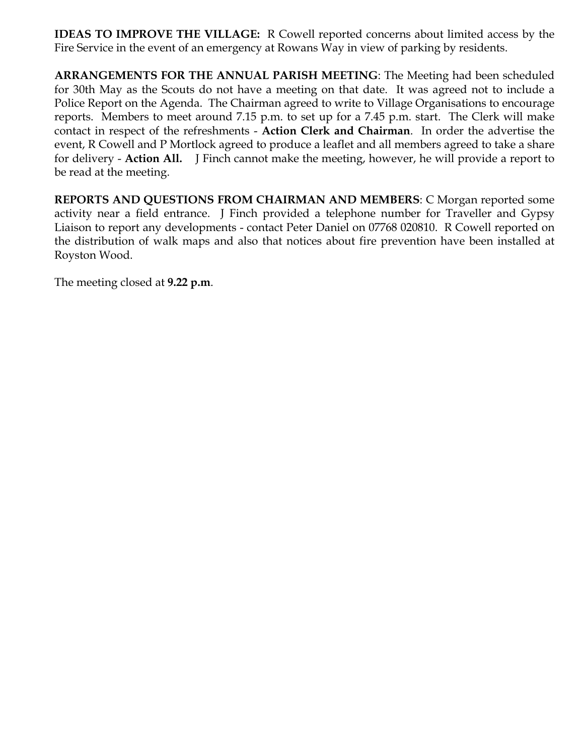**IDEAS TO IMPROVE THE VILLAGE:** R Cowell reported concerns about limited access by the Fire Service in the event of an emergency at Rowans Way in view of parking by residents.

**ARRANGEMENTS FOR THE ANNUAL PARISH MEETING**: The Meeting had been scheduled for 30th May as the Scouts do not have a meeting on that date. It was agreed not to include a Police Report on the Agenda. The Chairman agreed to write to Village Organisations to encourage reports. Members to meet around 7.15 p.m. to set up for a 7.45 p.m. start. The Clerk will make contact in respect of the refreshments - **Action Clerk and Chairman**. In order the advertise the event, R Cowell and P Mortlock agreed to produce a leaflet and all members agreed to take a share for delivery - **Action All.** J Finch cannot make the meeting, however, he will provide a report to be read at the meeting.

**REPORTS AND QUESTIONS FROM CHAIRMAN AND MEMBERS**: C Morgan reported some activity near a field entrance. J Finch provided a telephone number for Traveller and Gypsy Liaison to report any developments - contact Peter Daniel on 07768 020810. R Cowell reported on the distribution of walk maps and also that notices about fire prevention have been installed at Royston Wood.

The meeting closed at **9.22 p.m**.